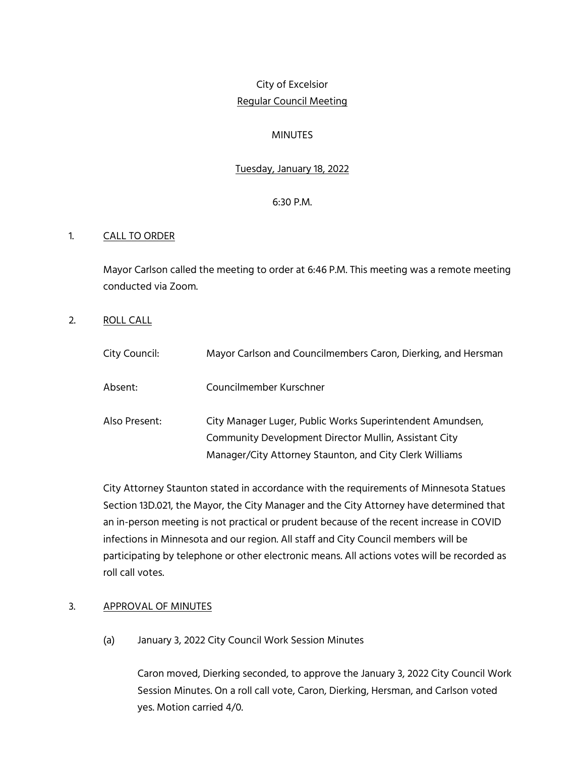# City of Excelsior Regular Council Meeting

### **MINUTES**

# Tuesday, January 18, 2022

#### 6:30 P.M.

#### 1. CALL TO ORDER

Mayor Carlson called the meeting to order at 6:46 P.M. This meeting was a remote meeting conducted via Zoom.

2. ROLL CALL

| City Council: | Mayor Carlson and Councilmembers Caron, Dierking, and Hersman                                                                                                                 |
|---------------|-------------------------------------------------------------------------------------------------------------------------------------------------------------------------------|
| Absent:       | Councilmember Kurschner                                                                                                                                                       |
| Also Present: | City Manager Luger, Public Works Superintendent Amundsen,<br>Community Development Director Mullin, Assistant City<br>Manager/City Attorney Staunton, and City Clerk Williams |

City Attorney Staunton stated in accordance with the requirements of Minnesota Statues Section 13D.021, the Mayor, the City Manager and the City Attorney have determined that an in-person meeting is not practical or prudent because of the recent increase in COVID infections in Minnesota and our region. All staff and City Council members will be participating by telephone or other electronic means. All actions votes will be recorded as roll call votes.

#### 3. APPROVAL OF MINUTES

(a) January 3, 2022 City Council Work Session Minutes

Caron moved, Dierking seconded, to approve the January 3, 2022 City Council Work Session Minutes. On a roll call vote, Caron, Dierking, Hersman, and Carlson voted yes. Motion carried 4/0.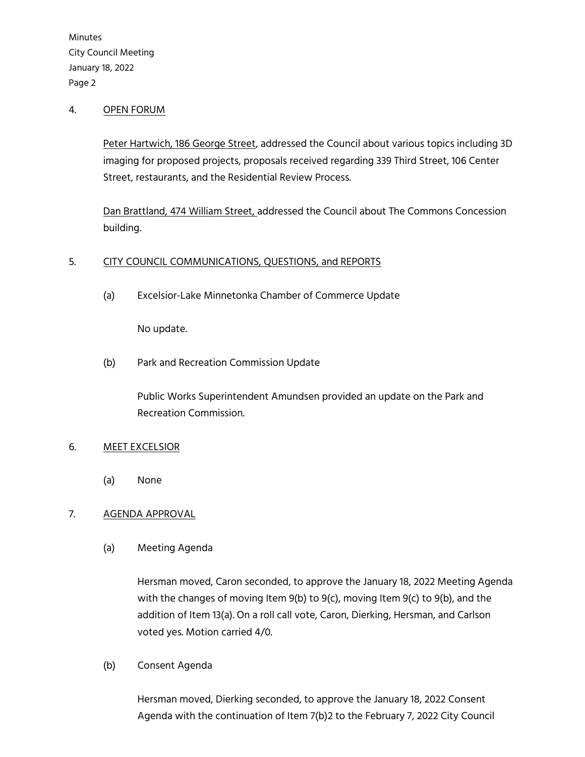#### 4. OPEN FORUM

Peter Hartwich, 186 George Street, addressed the Council about various topics including 3D imaging for proposed projects, proposals received regarding 339 Third Street, 106 Center Street, restaurants, and the Residential Review Process.

Dan Brattland, 474 William Street, addressed the Council about The Commons Concession building.

#### 5. CITY COUNCIL COMMUNICATIONS, QUESTIONS, and REPORTS

(a) Excelsior-Lake Minnetonka Chamber of Commerce Update

No update.

(b) Park and Recreation Commission Update

Public Works Superintendent Amundsen provided an update on the Park and Recreation Commission.

# 6. MEET EXCELSIOR

(a) None

# 7. AGENDA APPROVAL

(a) Meeting Agenda

Hersman moved, Caron seconded, to approve the January 18, 2022 Meeting Agenda with the changes of moving Item 9(b) to 9(c), moving Item 9(c) to 9(b), and the addition of Item 13(a). On a roll call vote, Caron, Dierking, Hersman, and Carlson voted yes. Motion carried 4/0.

(b) Consent Agenda

Hersman moved, Dierking seconded, to approve the January 18, 2022 Consent Agenda with the continuation of Item 7(b)2 to the February 7, 2022 City Council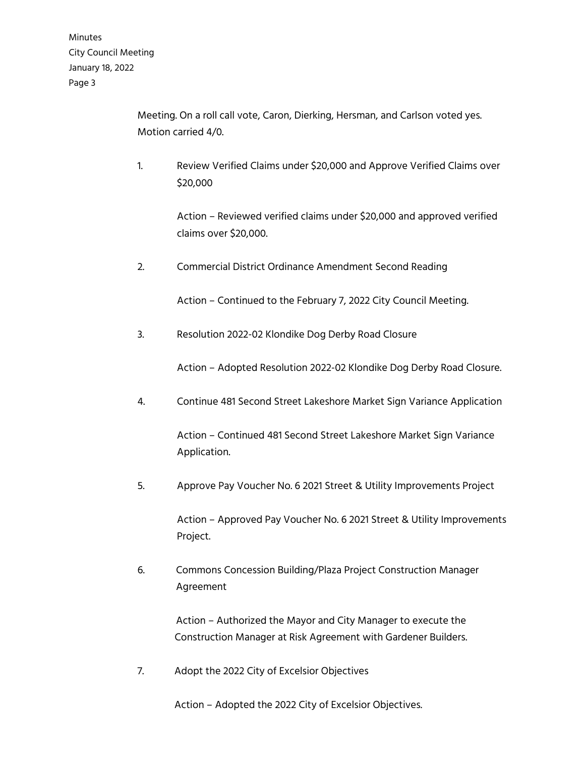> Meeting. On a roll call vote, Caron, Dierking, Hersman, and Carlson voted yes. Motion carried 4/0.

1. Review Verified Claims under \$20,000 and Approve Verified Claims over \$20,000

> Action – Reviewed verified claims under \$20,000 and approved verified claims over \$20,000.

2. Commercial District Ordinance Amendment Second Reading

Action – Continued to the February 7, 2022 City Council Meeting.

3. Resolution 2022-02 Klondike Dog Derby Road Closure

Action – Adopted Resolution 2022-02 Klondike Dog Derby Road Closure.

4. Continue 481 Second Street Lakeshore Market Sign Variance Application

Action – Continued 481 Second Street Lakeshore Market Sign Variance Application.

5. Approve Pay Voucher No. 6 2021 Street & Utility Improvements Project

Action – Approved Pay Voucher No. 6 2021 Street & Utility Improvements Project.

6. Commons Concession Building/Plaza Project Construction Manager Agreement

> Action – Authorized the Mayor and City Manager to execute the Construction Manager at Risk Agreement with Gardener Builders.

7. Adopt the 2022 City of Excelsior Objectives

Action – Adopted the 2022 City of Excelsior Objectives.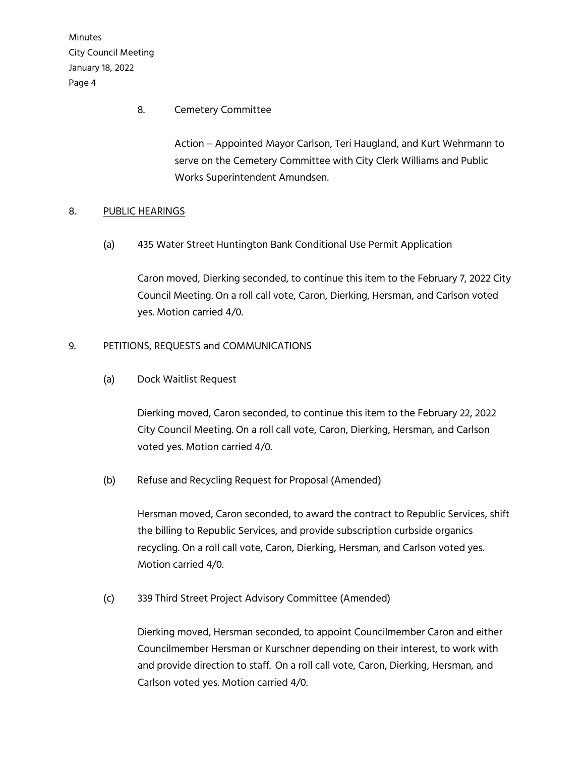# 8. Cemetery Committee

Action – Appointed Mayor Carlson, Teri Haugland, and Kurt Wehrmann to serve on the Cemetery Committee with City Clerk Williams and Public Works Superintendent Amundsen.

# 8. PUBLIC HEARINGS

(a) 435 Water Street Huntington Bank Conditional Use Permit Application

Caron moved, Dierking seconded, to continue this item to the February 7, 2022 City Council Meeting. On a roll call vote, Caron, Dierking, Hersman, and Carlson voted yes. Motion carried 4/0.

# 9. PETITIONS, REQUESTS and COMMUNICATIONS

(a) Dock Waitlist Request

Dierking moved, Caron seconded, to continue this item to the February 22, 2022 City Council Meeting. On a roll call vote, Caron, Dierking, Hersman, and Carlson voted yes. Motion carried 4/0.

(b) Refuse and Recycling Request for Proposal (Amended)

Hersman moved, Caron seconded, to award the contract to Republic Services, shift the billing to Republic Services, and provide subscription curbside organics recycling. On a roll call vote, Caron, Dierking, Hersman, and Carlson voted yes. Motion carried 4/0.

(c) 339 Third Street Project Advisory Committee (Amended)

Dierking moved, Hersman seconded, to appoint Councilmember Caron and either Councilmember Hersman or Kurschner depending on their interest, to work with and provide direction to staff. On a roll call vote, Caron, Dierking, Hersman, and Carlson voted yes. Motion carried 4/0.